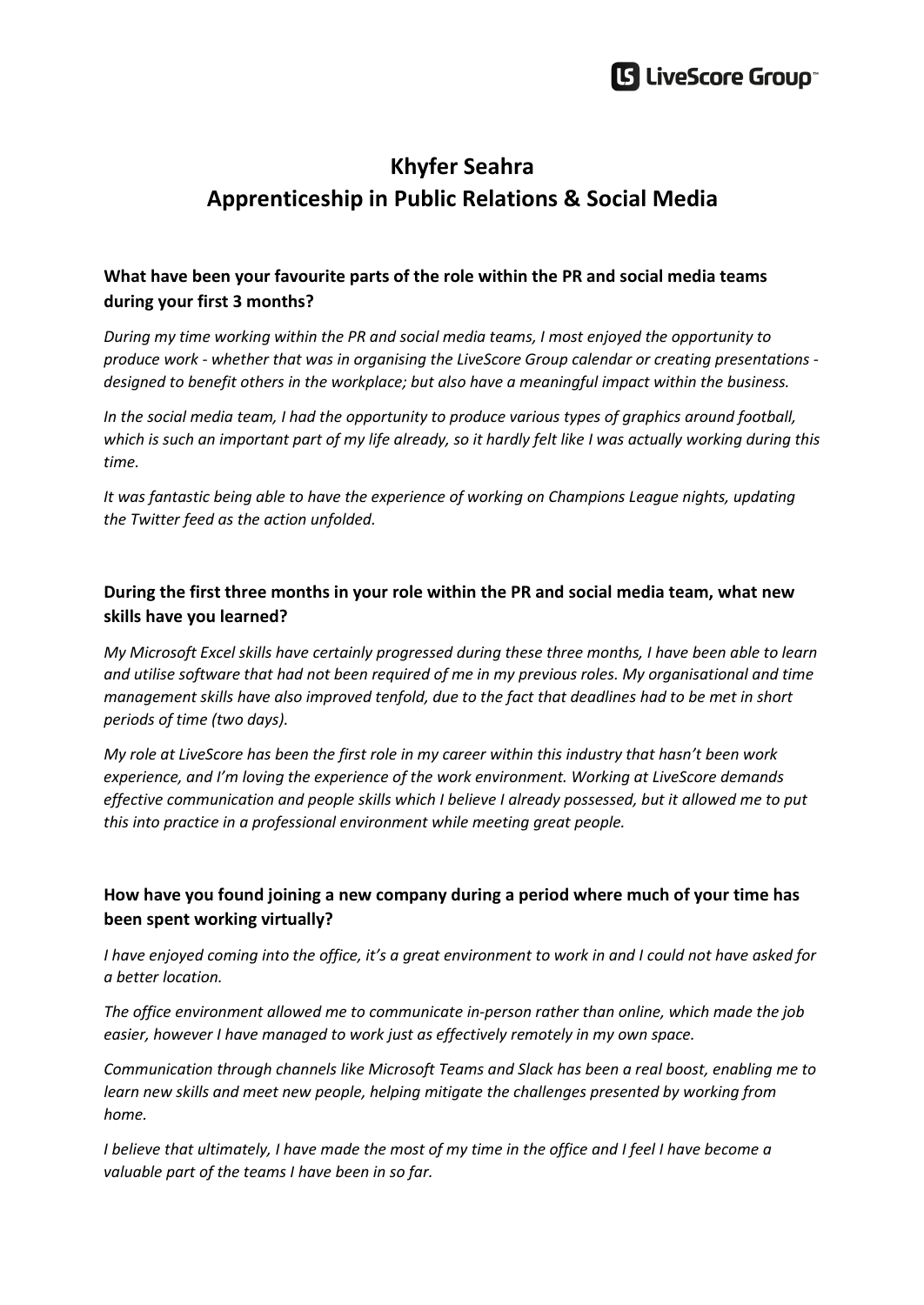

# **Khyfer Seahra Apprenticeship in Public Relations & Social Media**

## **What have been your favourite parts of the role within the PR and social media teams during your first 3 months?**

*During my time working within the PR and social media teams, I most enjoyed the opportunity to produce work - whether that was in organising the LiveScore Group calendar or creating presentations designed to benefit others in the workplace; but also have a meaningful impact within the business.* 

*In the social media team, I had the opportunity to produce various types of graphics around football, which is such an important part of my life already, so it hardly felt like I was actually working during this time.* 

*It was fantastic being able to have the experience of working on Champions League nights, updating the Twitter feed as the action unfolded.*

## **During the first three months in your role within the PR and social media team, what new skills have you learned?**

*My Microsoft Excel skills have certainly progressed during these three months, I have been able to learn and utilise software that had not been required of me in my previous roles. My organisational and time management skills have also improved tenfold, due to the fact that deadlines had to be met in short periods of time (two days).* 

*My role at LiveScore has been the first role in my career within this industry that hasn't been work experience, and I'm loving the experience of the work environment. Working at LiveScore demands effective communication and people skills which I believe I already possessed, but it allowed me to put this into practice in a professional environment while meeting great people.*

## **How have you found joining a new company during a period where much of your time has been spent working virtually?**

*I have enjoyed coming into the office, it's a great environment to work in and I could not have asked for a better location.* 

*The office environment allowed me to communicate in-person rather than online, which made the job easier, however I have managed to work just as effectively remotely in my own space.*

*Communication through channels like Microsoft Teams and Slack has been a real boost, enabling me to learn new skills and meet new people, helping mitigate the challenges presented by working from home.*

*I believe that ultimately, I have made the most of my time in the office and I feel I have become a valuable part of the teams I have been in so far.*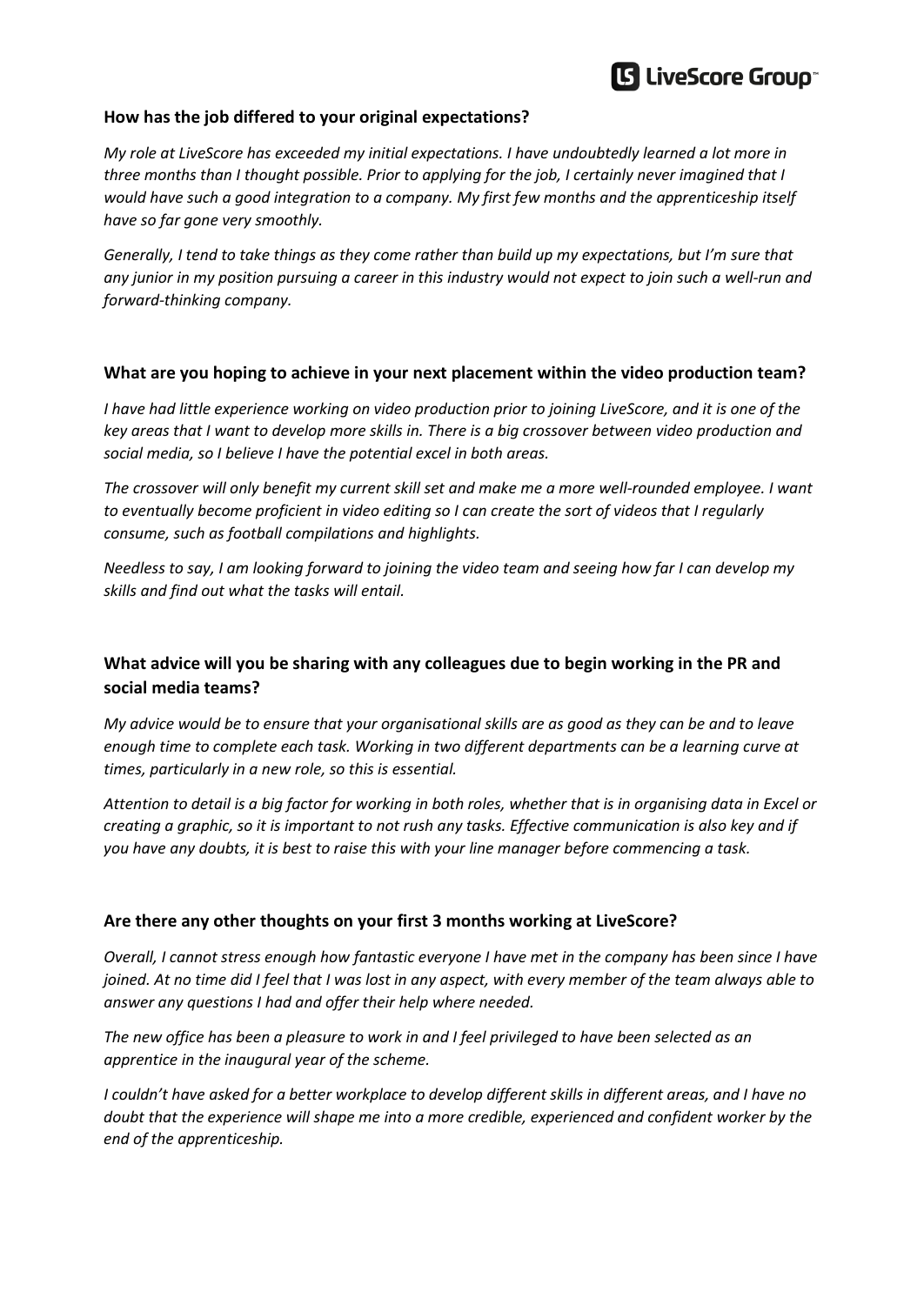# **S** LiveScore Group

#### **How has the job differed to your original expectations?**

*My role at LiveScore has exceeded my initial expectations. I have undoubtedly learned a lot more in three months than I thought possible. Prior to applying for the job, I certainly never imagined that I would have such a good integration to a company. My first few months and the apprenticeship itself have so far gone very smoothly.* 

*Generally, I tend to take things as they come rather than build up my expectations, but I'm sure that any junior in my position pursuing a career in this industry would not expect to join such a well-run and forward-thinking company.*

### **What are you hoping to achieve in your next placement within the video production team?**

*I have had little experience working on video production prior to joining LiveScore, and it is one of the key areas that I want to develop more skills in. There is a big crossover between video production and social media, so I believe I have the potential excel in both areas.* 

*The crossover will only benefit my current skill set and make me a more well-rounded employee. I want to eventually become proficient in video editing so I can create the sort of videos that I regularly consume, such as football compilations and highlights.*

*Needless to say, I am looking forward to joining the video team and seeing how far I can develop my skills and find out what the tasks will entail.*

## **What advice will you be sharing with any colleagues due to begin working in the PR and social media teams?**

*My advice would be to ensure that your organisational skills are as good as they can be and to leave enough time to complete each task. Working in two different departments can be a learning curve at times, particularly in a new role, so this is essential.* 

*Attention to detail is a big factor for working in both roles, whether that is in organising data in Excel or creating a graphic, so it is important to not rush any tasks. Effective communication is also key and if you have any doubts, it is best to raise this with your line manager before commencing a task.*

### **Are there any other thoughts on your first 3 months working at LiveScore?**

*Overall, I cannot stress enough how fantastic everyone I have met in the company has been since I have joined. At no time did I feel that I was lost in any aspect, with every member of the team always able to answer any questions I had and offer their help where needed.*

*The new office has been a pleasure to work in and I feel privileged to have been selected as an apprentice in the inaugural year of the scheme.* 

*I couldn't have asked for a better workplace to develop different skills in different areas, and I have no doubt that the experience will shape me into a more credible, experienced and confident worker by the end of the apprenticeship.*